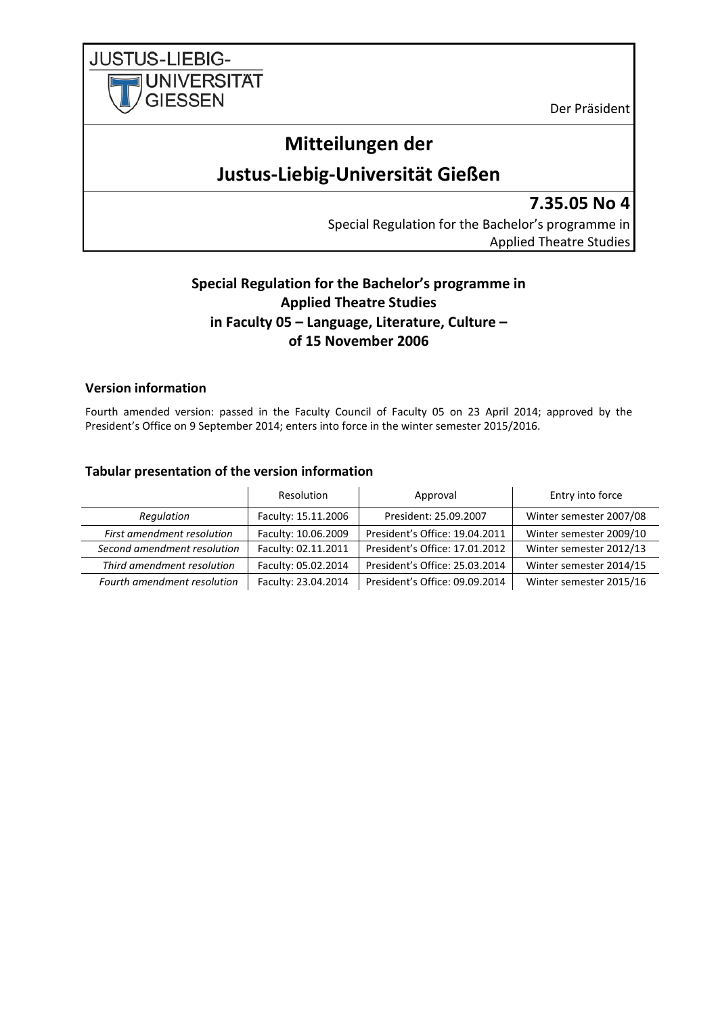**JUSTUS-LIEBIG-UNIVERSITAT GIESSEN** 

Der Präsident

# **Mitteilungen der**

# **Justus-Liebig-Universität Gießen**

**7.35.05 No 4**

Special Regulation for the Bachelor's programme in Applied Theatre Studies

## **Special Regulation for the Bachelor's programme in Applied Theatre Studies in Faculty 05 – Language, Literature, Culture – of 15 November 2006**

## <span id="page-0-0"></span>**Version information**

Fourth amended version: passed in the Faculty Council of Faculty 05 on 23 April 2014; approved by the President's Office on 9 September 2014; enters into force in the winter semester 2015/2016.

## <span id="page-0-1"></span>**Tabular presentation of the version information**

|                             | Resolution          | Approval                       | Entry into force        |
|-----------------------------|---------------------|--------------------------------|-------------------------|
| Regulation                  | Faculty: 15.11.2006 | President: 25.09.2007          | Winter semester 2007/08 |
| First amendment resolution  | Faculty: 10.06.2009 | President's Office: 19.04.2011 | Winter semester 2009/10 |
| Second amendment resolution | Faculty: 02.11.2011 | President's Office: 17.01.2012 | Winter semester 2012/13 |
| Third amendment resolution  | Faculty: 05.02.2014 | President's Office: 25.03.2014 | Winter semester 2014/15 |
| Fourth amendment resolution | Faculty: 23.04.2014 | President's Office: 09.09.2014 | Winter semester 2015/16 |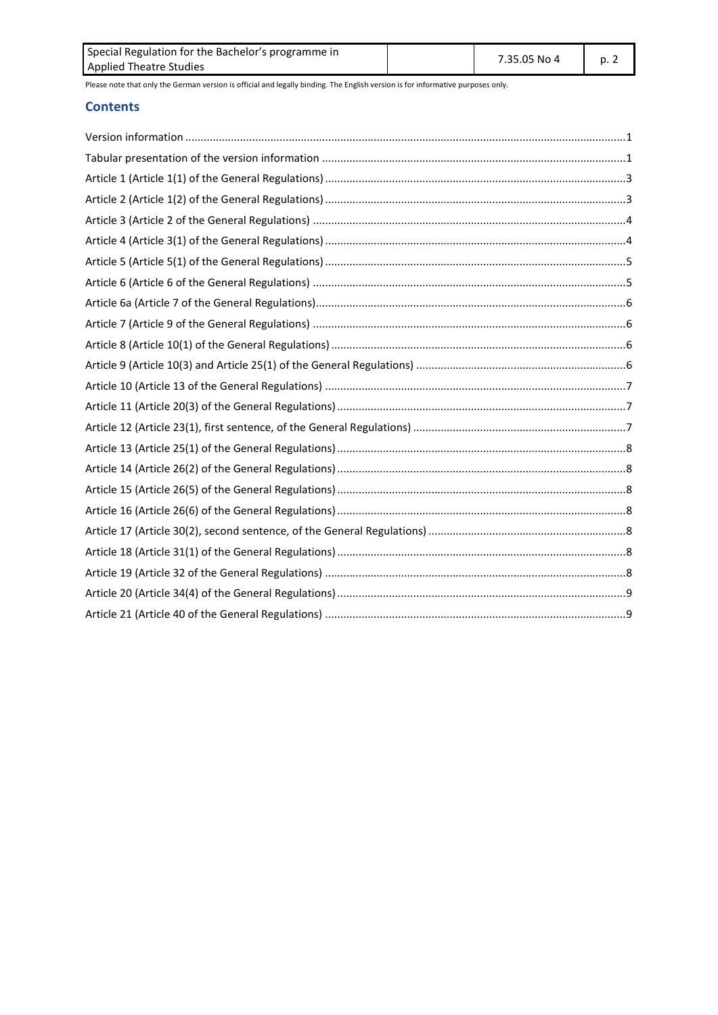| Special Regulation for the Bachelor's programme in | 7.35.05 No 4 | p. 2 |  |
|----------------------------------------------------|--------------|------|--|
| Applied Theatre Studies                            |              |      |  |

#### **Contents**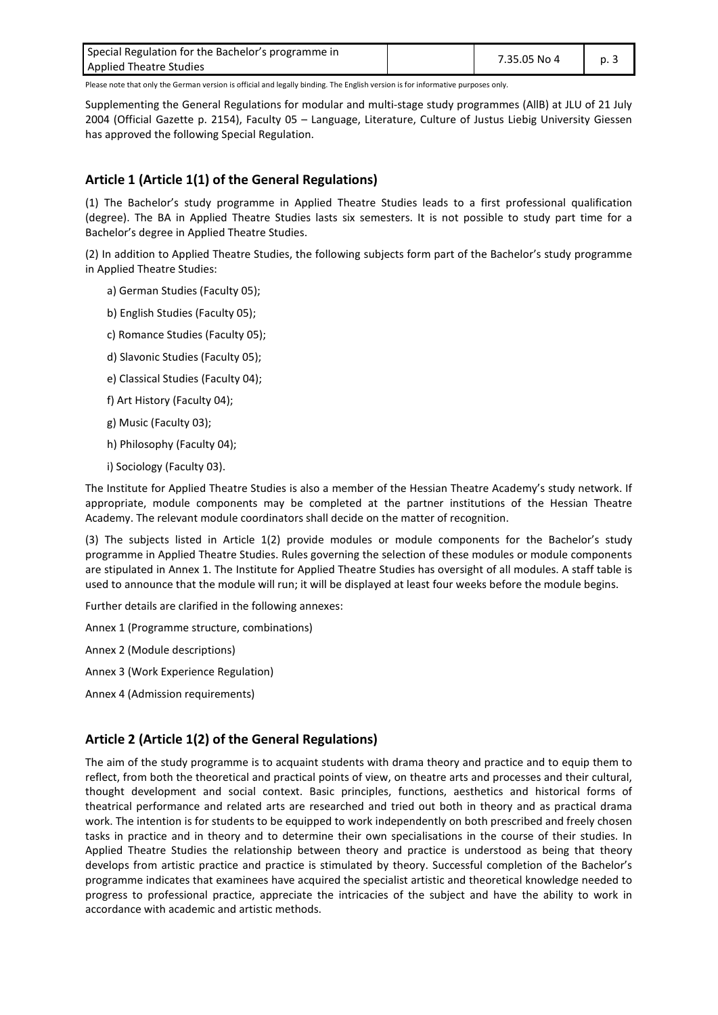| Special Regulation for the Bachelor's programme in | 7.35.05 No 4 | p. 3 |  |
|----------------------------------------------------|--------------|------|--|
| <b>Applied Theatre Studies</b>                     |              |      |  |

Supplementing the General Regulations for modular and multi-stage study programmes (AllB) at JLU of 21 July 2004 (Official Gazette p. 2154), Faculty 05 – Language, Literature, Culture of Justus Liebig University Giessen has approved the following Special Regulation.

## <span id="page-2-0"></span>**Article 1 (Article 1(1) of the General Regulations)**

(1) The Bachelor's study programme in Applied Theatre Studies leads to a first professional qualification (degree). The BA in Applied Theatre Studies lasts six semesters. It is not possible to study part time for a Bachelor's degree in Applied Theatre Studies.

(2) In addition to Applied Theatre Studies, the following subjects form part of the Bachelor's study programme in Applied Theatre Studies:

- a) German Studies (Faculty 05);
- b) English Studies (Faculty 05);
- c) Romance Studies (Faculty 05);
- d) Slavonic Studies (Faculty 05);
- e) Classical Studies (Faculty 04);
- f) Art History (Faculty 04);
- g) Music (Faculty 03);
- h) Philosophy (Faculty 04);
- i) Sociology (Faculty 03).

The Institute for Applied Theatre Studies is also a member of the Hessian Theatre Academy's study network. If appropriate, module components may be completed at the partner institutions of the Hessian Theatre Academy. The relevant module coordinators shall decide on the matter of recognition.

(3) The subjects listed in Article 1(2) provide modules or module components for the Bachelor's study programme in Applied Theatre Studies. Rules governing the selection of these modules or module components are stipulated in Annex 1. The Institute for Applied Theatre Studies has oversight of all modules. A staff table is used to announce that the module will run; it will be displayed at least four weeks before the module begins.

Further details are clarified in the following annexes:

Annex 1 (Programme structure, combinations)

Annex 2 (Module descriptions)

- Annex 3 (Work Experience Regulation)
- <span id="page-2-1"></span>Annex 4 (Admission requirements)

#### **Article 2 (Article 1(2) of the General Regulations)**

The aim of the study programme is to acquaint students with drama theory and practice and to equip them to reflect, from both the theoretical and practical points of view, on theatre arts and processes and their cultural, thought development and social context. Basic principles, functions, aesthetics and historical forms of theatrical performance and related arts are researched and tried out both in theory and as practical drama work. The intention is for students to be equipped to work independently on both prescribed and freely chosen tasks in practice and in theory and to determine their own specialisations in the course of their studies. In Applied Theatre Studies the relationship between theory and practice is understood as being that theory develops from artistic practice and practice is stimulated by theory. Successful completion of the Bachelor's programme indicates that examinees have acquired the specialist artistic and theoretical knowledge needed to progress to professional practice, appreciate the intricacies of the subject and have the ability to work in accordance with academic and artistic methods.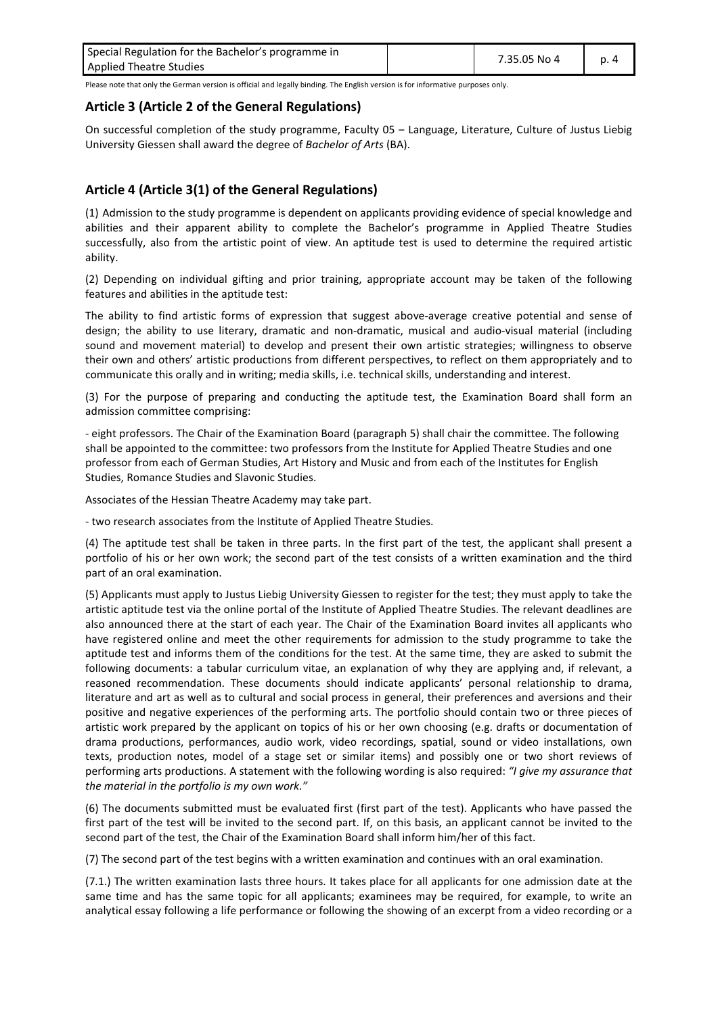| Special Regulation for the Bachelor's programme in | 7.35.05 No 4 |  |  |
|----------------------------------------------------|--------------|--|--|
| <b>Applied Theatre Studies</b>                     |              |  |  |

#### <span id="page-3-0"></span>**Article 3 (Article 2 of the General Regulations)**

On successful completion of the study programme, Faculty 05 - Language, Literature, Culture of Justus Liebig University Giessen shall award the degree of *Bachelor of Arts* (BA).

#### <span id="page-3-1"></span>**Article 4 (Article 3(1) of the General Regulations)**

(1) Admission to the study programme is dependent on applicants providing evidence of special knowledge and abilities and their apparent ability to complete the Bachelor's programme in Applied Theatre Studies successfully, also from the artistic point of view. An aptitude test is used to determine the required artistic ability.

(2) Depending on individual gifting and prior training, appropriate account may be taken of the following features and abilities in the aptitude test:

The ability to find artistic forms of expression that suggest above-average creative potential and sense of design; the ability to use literary, dramatic and non-dramatic, musical and audio-visual material (including sound and movement material) to develop and present their own artistic strategies; willingness to observe their own and others' artistic productions from different perspectives, to reflect on them appropriately and to communicate this orally and in writing; media skills, i.e. technical skills, understanding and interest.

(3) For the purpose of preparing and conducting the aptitude test, the Examination Board shall form an admission committee comprising:

- eight professors. The Chair of the Examination Board (paragraph 5) shall chair the committee. The following shall be appointed to the committee: two professors from the Institute for Applied Theatre Studies and one professor from each of German Studies, Art History and Music and from each of the Institutes for English Studies, Romance Studies and Slavonic Studies.

Associates of the Hessian Theatre Academy may take part.

- two research associates from the Institute of Applied Theatre Studies.

(4) The aptitude test shall be taken in three parts. In the first part of the test, the applicant shall present a portfolio of his or her own work; the second part of the test consists of a written examination and the third part of an oral examination.

(5) Applicants must apply to Justus Liebig University Giessen to register for the test; they must apply to take the artistic aptitude test via the online portal of the Institute of Applied Theatre Studies. The relevant deadlines are also announced there at the start of each year. The Chair of the Examination Board invites all applicants who have registered online and meet the other requirements for admission to the study programme to take the aptitude test and informs them of the conditions for the test. At the same time, they are asked to submit the following documents: a tabular curriculum vitae, an explanation of why they are applying and, if relevant, a reasoned recommendation. These documents should indicate applicants' personal relationship to drama, literature and art as well as to cultural and social process in general, their preferences and aversions and their positive and negative experiences of the performing arts. The portfolio should contain two or three pieces of artistic work prepared by the applicant on topics of his or her own choosing (e.g. drafts or documentation of drama productions, performances, audio work, video recordings, spatial, sound or video installations, own texts, production notes, model of a stage set or similar items) and possibly one or two short reviews of performing arts productions. A statement with the following wording is also required: *"I give my assurance that the material in the portfolio is my own work."*

(6) The documents submitted must be evaluated first (first part of the test). Applicants who have passed the first part of the test will be invited to the second part. If, on this basis, an applicant cannot be invited to the second part of the test, the Chair of the Examination Board shall inform him/her of this fact.

(7) The second part of the test begins with a written examination and continues with an oral examination.

(7.1.) The written examination lasts three hours. It takes place for all applicants for one admission date at the same time and has the same topic for all applicants; examinees may be required, for example, to write an analytical essay following a life performance or following the showing of an excerpt from a video recording or a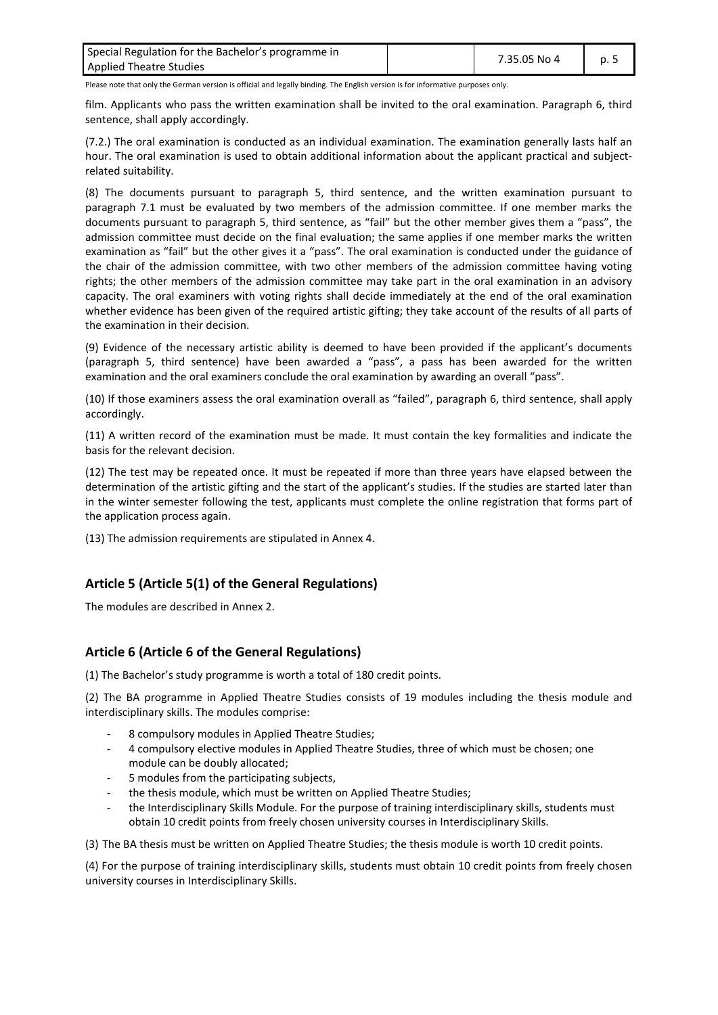| Special Regulation for the Bachelor's programme in | 7.35.05 No 4 | p. 5 |  |
|----------------------------------------------------|--------------|------|--|
| <b>Applied Theatre Studies</b>                     |              |      |  |

film. Applicants who pass the written examination shall be invited to the oral examination. Paragraph 6, third sentence, shall apply accordingly.

(7.2.) The oral examination is conducted as an individual examination. The examination generally lasts half an hour. The oral examination is used to obtain additional information about the applicant practical and subjectrelated suitability.

(8) The documents pursuant to paragraph 5, third sentence, and the written examination pursuant to paragraph 7.1 must be evaluated by two members of the admission committee. If one member marks the documents pursuant to paragraph 5, third sentence, as "fail" but the other member gives them a "pass", the admission committee must decide on the final evaluation; the same applies if one member marks the written examination as "fail" but the other gives it a "pass". The oral examination is conducted under the guidance of the chair of the admission committee, with two other members of the admission committee having voting rights; the other members of the admission committee may take part in the oral examination in an advisory capacity. The oral examiners with voting rights shall decide immediately at the end of the oral examination whether evidence has been given of the required artistic gifting; they take account of the results of all parts of the examination in their decision.

(9) Evidence of the necessary artistic ability is deemed to have been provided if the applicant's documents (paragraph 5, third sentence) have been awarded a "pass", a pass has been awarded for the written examination and the oral examiners conclude the oral examination by awarding an overall "pass".

(10) If those examiners assess the oral examination overall as "failed", paragraph 6, third sentence, shall apply accordingly.

(11) A written record of the examination must be made. It must contain the key formalities and indicate the basis for the relevant decision.

(12) The test may be repeated once. It must be repeated if more than three years have elapsed between the determination of the artistic gifting and the start of the applicant's studies. If the studies are started later than in the winter semester following the test, applicants must complete the online registration that forms part of the application process again.

<span id="page-4-0"></span>(13) The admission requirements are stipulated in Annex 4.

## **Article 5 (Article 5(1) of the General Regulations)**

<span id="page-4-1"></span>The modules are described in Annex 2.

## **Article 6 (Article 6 of the General Regulations)**

(1) The Bachelor's study programme is worth a total of 180 credit points.

(2) The BA programme in Applied Theatre Studies consists of 19 modules including the thesis module and interdisciplinary skills. The modules comprise:

- 8 compulsory modules in Applied Theatre Studies;
- 4 compulsory elective modules in Applied Theatre Studies, three of which must be chosen; one module can be doubly allocated;
- 5 modules from the participating subjects.
- the thesis module, which must be written on Applied Theatre Studies;
- the Interdisciplinary Skills Module. For the purpose of training interdisciplinary skills, students must obtain 10 credit points from freely chosen university courses in Interdisciplinary Skills.

(3) The BA thesis must be written on Applied Theatre Studies; the thesis module is worth 10 credit points.

(4) For the purpose of training interdisciplinary skills, students must obtain 10 credit points from freely chosen university courses in Interdisciplinary Skills.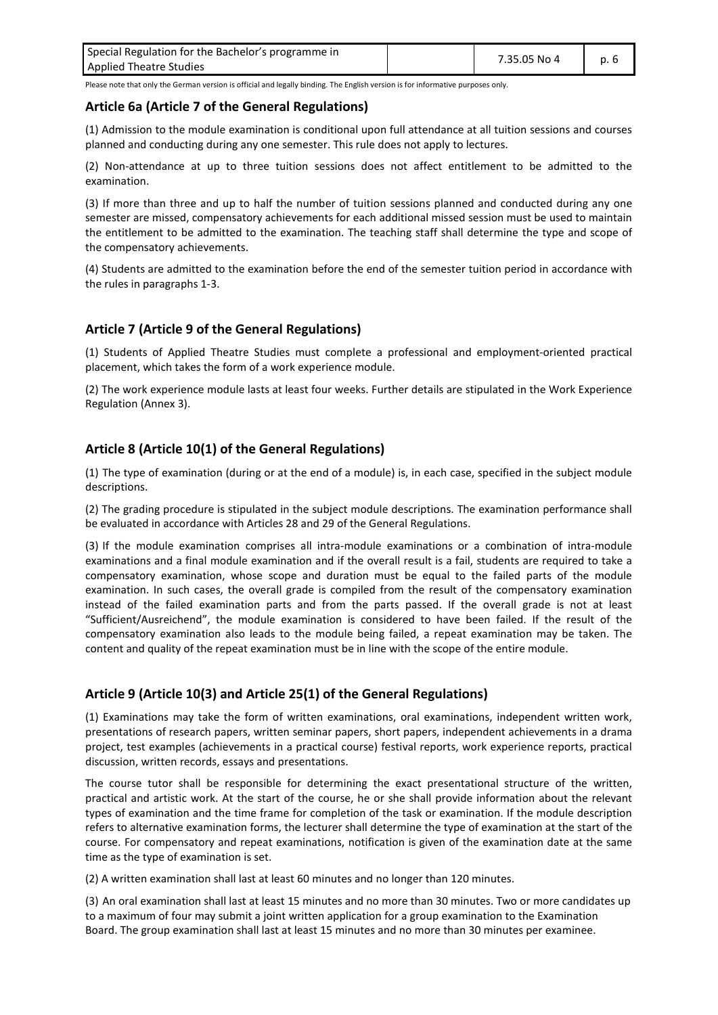| Special Regulation for the Bachelor's programme in | 7.35.05 No 4 | p. 6 |  |
|----------------------------------------------------|--------------|------|--|
| <b>Applied Theatre Studies</b>                     |              |      |  |

#### <span id="page-5-0"></span>**Article 6a (Article 7 of the General Regulations)**

(1) Admission to the module examination is conditional upon full attendance at all tuition sessions and courses planned and conducting during any one semester. This rule does not apply to lectures.

(2) Non-attendance at up to three tuition sessions does not affect entitlement to be admitted to the examination.

(3) If more than three and up to half the number of tuition sessions planned and conducted during any one semester are missed, compensatory achievements for each additional missed session must be used to maintain the entitlement to be admitted to the examination. The teaching staff shall determine the type and scope of the compensatory achievements.

(4) Students are admitted to the examination before the end of the semester tuition period in accordance with the rules in paragraphs 1-3.

#### <span id="page-5-1"></span>**Article 7 (Article 9 of the General Regulations)**

(1) Students of Applied Theatre Studies must complete a professional and employment-oriented practical placement, which takes the form of a work experience module.

(2) The work experience module lasts at least four weeks. Further details are stipulated in the Work Experience Regulation (Annex 3).

## <span id="page-5-2"></span>**Article 8 (Article 10(1) of the General Regulations)**

(1) The type of examination (during or at the end of a module) is, in each case, specified in the subject module descriptions.

(2) The grading procedure is stipulated in the subject module descriptions. The examination performance shall be evaluated in accordance with Articles 28 and 29 of the General Regulations.

(3) If the module examination comprises all intra-module examinations or a combination of intra-module examinations and a final module examination and if the overall result is a fail, students are required to take a compensatory examination, whose scope and duration must be equal to the failed parts of the module examination. In such cases, the overall grade is compiled from the result of the compensatory examination instead of the failed examination parts and from the parts passed. If the overall grade is not at least "Sufficient/Ausreichend", the module examination is considered to have been failed. If the result of the compensatory examination also leads to the module being failed, a repeat examination may be taken. The content and quality of the repeat examination must be in line with the scope of the entire module.

## <span id="page-5-3"></span>**Article 9 (Article 10(3) and Article 25(1) of the General Regulations)**

(1) Examinations may take the form of written examinations, oral examinations, independent written work, presentations of research papers, written seminar papers, short papers, independent achievements in a drama project, test examples (achievements in a practical course) festival reports, work experience reports, practical discussion, written records, essays and presentations.

The course tutor shall be responsible for determining the exact presentational structure of the written, practical and artistic work. At the start of the course, he or she shall provide information about the relevant types of examination and the time frame for completion of the task or examination. If the module description refers to alternative examination forms, the lecturer shall determine the type of examination at the start of the course. For compensatory and repeat examinations, notification is given of the examination date at the same time as the type of examination is set.

(2) A written examination shall last at least 60 minutes and no longer than 120 minutes.

(3) An oral examination shall last at least 15 minutes and no more than 30 minutes. Two or more candidates up to a maximum of four may submit a joint written application for a group examination to the Examination Board. The group examination shall last at least 15 minutes and no more than 30 minutes per examinee.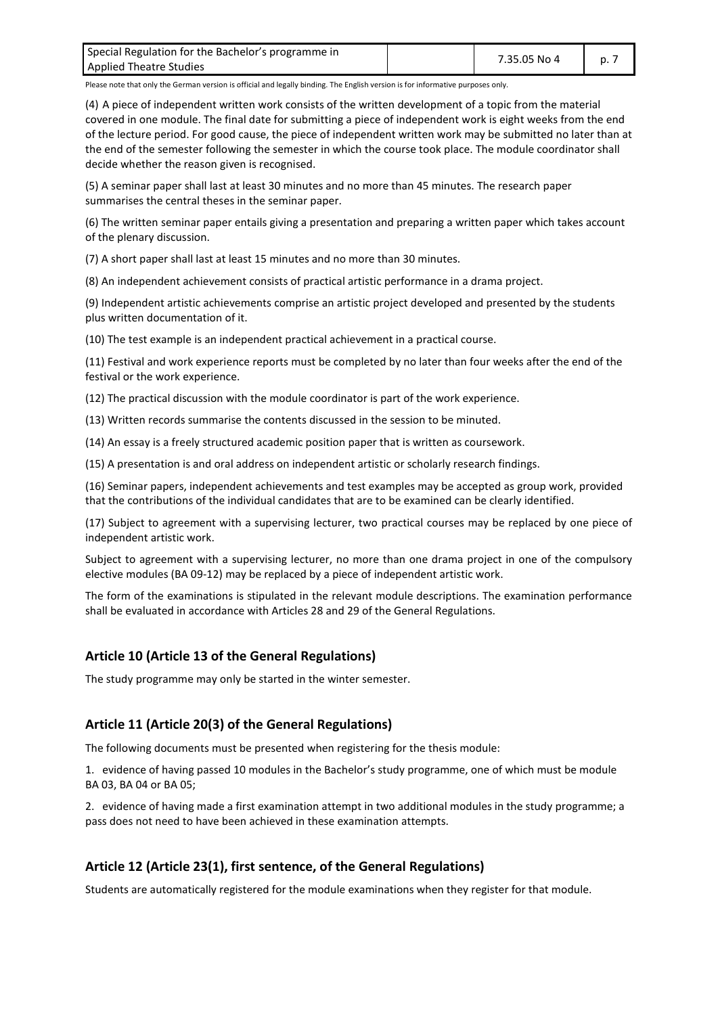| Special Regulation for the Bachelor's programme in | 7.35.05 No 4 | $D_{\cdot}$ . |  |
|----------------------------------------------------|--------------|---------------|--|
| <b>Applied Theatre Studies</b>                     |              |               |  |

(4) A piece of independent written work consists of the written development of a topic from the material covered in one module. The final date for submitting a piece of independent work is eight weeks from the end of the lecture period. For good cause, the piece of independent written work may be submitted no later than at the end of the semester following the semester in which the course took place. The module coordinator shall decide whether the reason given is recognised.

(5) A seminar paper shall last at least 30 minutes and no more than 45 minutes. The research paper summarises the central theses in the seminar paper.

(6) The written seminar paper entails giving a presentation and preparing a written paper which takes account of the plenary discussion.

(7) A short paper shall last at least 15 minutes and no more than 30 minutes.

(8) An independent achievement consists of practical artistic performance in a drama project.

(9) Independent artistic achievements comprise an artistic project developed and presented by the students plus written documentation of it.

(10) The test example is an independent practical achievement in a practical course.

(11) Festival and work experience reports must be completed by no later than four weeks after the end of the festival or the work experience.

(12) The practical discussion with the module coordinator is part of the work experience.

(13) Written records summarise the contents discussed in the session to be minuted.

(14) An essay is a freely structured academic position paper that is written as coursework.

(15) A presentation is and oral address on independent artistic or scholarly research findings.

(16) Seminar papers, independent achievements and test examples may be accepted as group work, provided that the contributions of the individual candidates that are to be examined can be clearly identified.

(17) Subject to agreement with a supervising lecturer, two practical courses may be replaced by one piece of independent artistic work.

Subject to agreement with a supervising lecturer, no more than one drama project in one of the compulsory elective modules (BA 09-12) may be replaced by a piece of independent artistic work.

The form of the examinations is stipulated in the relevant module descriptions. The examination performance shall be evaluated in accordance with Articles 28 and 29 of the General Regulations.

#### <span id="page-6-0"></span>**Article 10 (Article 13 of the General Regulations)**

<span id="page-6-1"></span>The study programme may only be started in the winter semester.

## **Article 11 (Article 20(3) of the General Regulations)**

The following documents must be presented when registering for the thesis module:

1. evidence of having passed 10 modules in the Bachelor's study programme, one of which must be module BA 03, BA 04 or BA 05;

2. evidence of having made a first examination attempt in two additional modules in the study programme; a pass does not need to have been achieved in these examination attempts.

#### <span id="page-6-2"></span>**Article 12 (Article 23(1), first sentence, of the General Regulations)**

Students are automatically registered for the module examinations when they register for that module.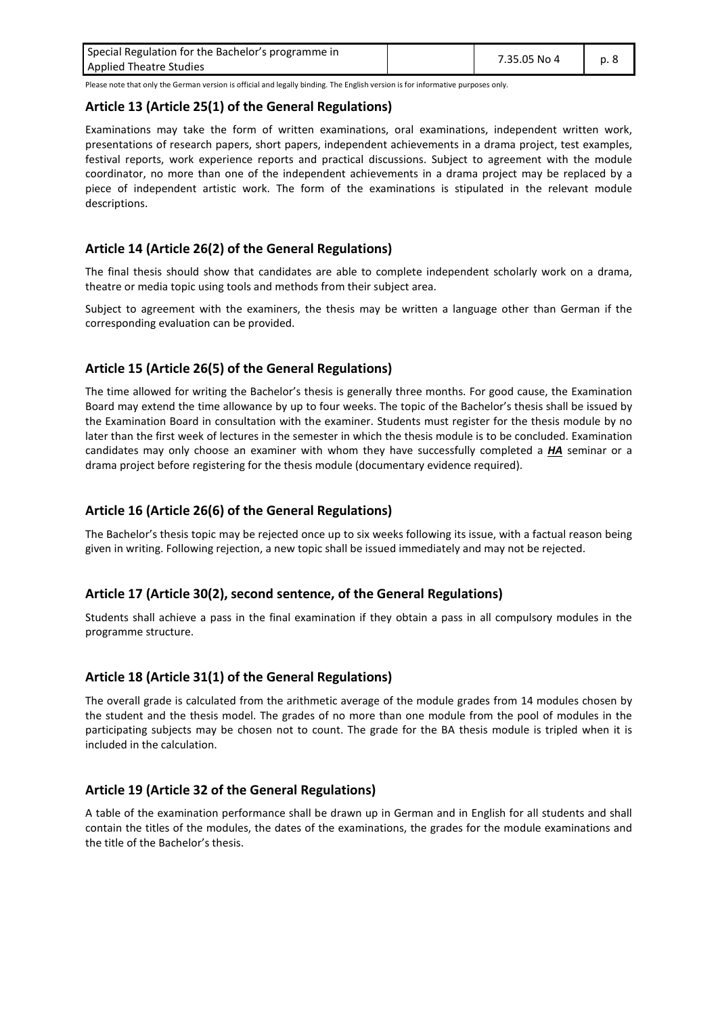| Special Regulation for the Bachelor's programme in | 7.35.05 No 4 | p. 8 |  |
|----------------------------------------------------|--------------|------|--|
| <b>Applied Theatre Studies</b>                     |              |      |  |

#### <span id="page-7-0"></span>**Article 13 (Article 25(1) of the General Regulations)**

Examinations may take the form of written examinations, oral examinations, independent written work, presentations of research papers, short papers, independent achievements in a drama project, test examples, festival reports, work experience reports and practical discussions. Subject to agreement with the module coordinator, no more than one of the independent achievements in a drama project may be replaced by a piece of independent artistic work. The form of the examinations is stipulated in the relevant module descriptions.

## <span id="page-7-1"></span>**Article 14 (Article 26(2) of the General Regulations)**

The final thesis should show that candidates are able to complete independent scholarly work on a drama, theatre or media topic using tools and methods from their subject area.

Subject to agreement with the examiners, the thesis may be written a language other than German if the corresponding evaluation can be provided.

## <span id="page-7-2"></span>**Article 15 (Article 26(5) of the General Regulations)**

The time allowed for writing the Bachelor's thesis is generally three months. For good cause, the Examination Board may extend the time allowance by up to four weeks. The topic of the Bachelor's thesis shall be issued by the Examination Board in consultation with the examiner. Students must register for the thesis module by no later than the first week of lectures in the semester in which the thesis module is to be concluded. Examination candidates may only choose an examiner with whom they have successfully completed a *HA* seminar or a drama project before registering for the thesis module (documentary evidence required).

## <span id="page-7-3"></span>**Article 16 (Article 26(6) of the General Regulations)**

The Bachelor's thesis topic may be rejected once up to six weeks following its issue, with a factual reason being given in writing. Following rejection, a new topic shall be issued immediately and may not be rejected.

#### <span id="page-7-4"></span>**Article 17 (Article 30(2), second sentence, of the General Regulations)**

Students shall achieve a pass in the final examination if they obtain a pass in all compulsory modules in the programme structure.

#### <span id="page-7-5"></span>**Article 18 (Article 31(1) of the General Regulations)**

The overall grade is calculated from the arithmetic average of the module grades from 14 modules chosen by the student and the thesis model. The grades of no more than one module from the pool of modules in the participating subjects may be chosen not to count. The grade for the BA thesis module is tripled when it is included in the calculation.

#### <span id="page-7-6"></span>**Article 19 (Article 32 of the General Regulations)**

A table of the examination performance shall be drawn up in German and in English for all students and shall contain the titles of the modules, the dates of the examinations, the grades for the module examinations and the title of the Bachelor's thesis.